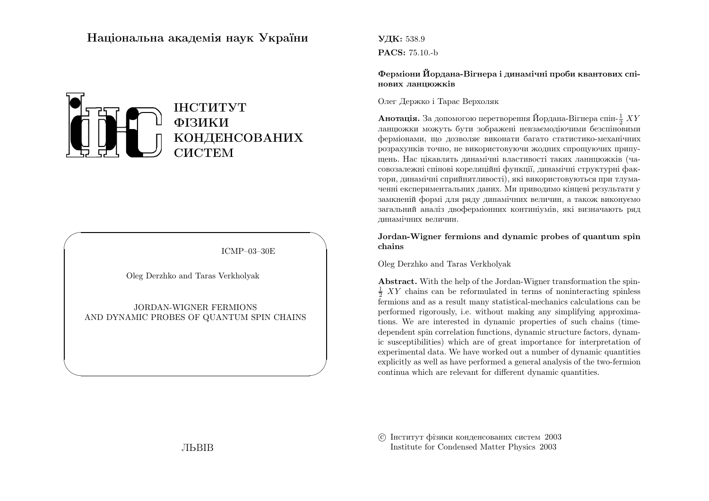# Нацiональна академiя наук України



ICMP–03–30E

✩

 $\overline{\phantom{a}}$ 

Oleg Derzhko and Taras Verkholyak

 $\sqrt{a}$ 

 $\setminus$ 

JORDAN-WIGNER FERMIONSAND DYNAMIC PROBES OF QUANTUM SPIN CHAINS УДК: 538.9PACS: 75.10.-b

Фермiони Йордана-Вiгнера <sup>i</sup> динамiчнi проби квантових спiнових ланцюжкiв

Олег Держко i Тарас Верхоляк

**Анотація.** За допомогою перетворення Йордана-Вігнера спін- $\frac{1}{2} XY$ ланцюжки можуть бути зображенi невзаємодiючими безспiновими фермiонами, що дозволяє виконати багато статистико-механiчних розрахункiв точно, не використовуючи жодних спрощуючих припущень. Нас цiкавлять динамiчнi властивостi таких ланнцюжкiв (часовозалежнi спiновi кореляцiйнi функцiї, динамiчнi структурнi фактори, динамiчнi сприйнятливостi), якi використовуються при тлумаченнi експериментальних даних. Ми приводимо кiнцевi результати у замкненiй формi для ряду динамiчних величин, <sup>а</sup> також виконуємо загальний аналiз двофермiонних континiумiв, якi визначають ряддинамiчних величин.

Jordan-Wigner fermions and dynamic probes of quantum spinchains

Oleg Derzhko and Taras Verkholyak

Abstract. With the help of the Jordan-Wigner transformation the spin- $\frac{1}{2}$  XY chains can be reformulated in terms of noninteracting spinless fermions and as <sup>a</sup> result many statistical-mechanics calculations can be performed rigorously, i.e. without making any simplifying approximations. We are interested in dynamic properties of such chains (timedependent spin correlation functions, dynamic structure factors, dynamic susceptibilities) which are of great importance for interpretation of experimental data. We have worked out <sup>a</sup> number of dynamic quantities explicitly as well as have performed <sup>a</sup> general analysis of the two-fermioncontinua which are relevant for different dynamic quantities.

 c Iнститут фiзики конденсованих систем <sup>2003</sup>Institute for Condensed Matter Physics 2003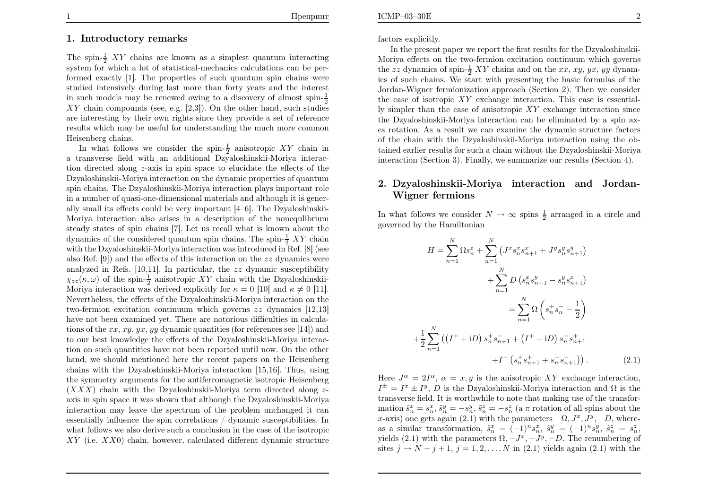#### 1. Introductory remarks

The spin- $\frac{1}{2}$  XY chains are known as a simplest quantum interacting system for which <sup>a</sup> lot of statistical-mechanics calculations can be performed exactly [1]. The properties of such quantum spin chains were studied intensively during last more than forty years and the interestin such models may be renewed owing to a discovery of almost spin- $\frac{1}{2}$  XY chain compounds (see, e.g. [2,3]). On the other hand, such studies are interesting by their own rights since they provide <sup>a</sup> set of reference results which may be useful for understanding the much more commonHeisenberg chains.

In what follows we consider the spin- $\frac{1}{2}$  anisotropic XY chain in <sup>a</sup> transverse field with an additional Dzyaloshinskii-Moriya interaction directed along <sup>z</sup>-axis in spin space to elucidate the effects of the Dzyaloshinskii-Moriya interaction on the dynamic properties of quantum spin chains. The Dzyaloshinskii-Moriya interaction plays important role in <sup>a</sup> number of quasi-one-dimensional materials and although it is generally small its effects could be very important [4–6]. The Dzyaloshinskii-Moriya interaction also arises in <sup>a</sup> description of the nonequlibrium steady states of spin chains [7]. Let us recall what is known about thedynamics of the considered quantum spin chains. The spin- $\frac{1}{2} XY$  chain with the Dzyaloshinskii-Moriya interaction was introduced in Ref. [8] (seealso Ref. [9]) and the effects of this interaction on the  $zz$  dynamics were analyzed in Refs. [10,11]. In particular, the  $zz$  dynamic susceptibility  $\chi_{zz}(\kappa,\omega)$  of the spin- $\frac{1}{2}$  anisotropic XY chain with the Dzyaloshinskii-Moriya interaction was derived explicitly for  $\kappa = 0$  [10] and  $\kappa \neq 0$  [11]. Nevertheless, the effects of the Dzyaloshinskii-Moriya interaction on the two-fermion excitation continuum which governs zz dynamics [12,13] have not been examined yet. There are notorious difficulties in calculations of the  $xx, xy, yx, yy$  dynamic quantities (for references see [14]) and to our best knowledge the effects of the Dzyaloshinskii-Moriya interaction on such quantities have not been reported until now. On the other hand, we should mentioned here the recent papers on the Heisenberg chains with the Dzyaloshinskii-Moriya interaction [15,16]. Thus, using the symmetry arguments for the antiferromagnetic isotropic Heisenberg $(XXX)$  chain with the Dzyaloshinskii-Moriya term directed along  $z$ axis in spin space it was shown that although the Dzyaloshinskii-Moriya interaction may leave the spectrum of the problem unchanged it can essentially influence the spin correlations / dynamic susceptibilities. In what follows we also derive such <sup>a</sup> conclusion in the case of the isotropicXY (i.e. XX0) chain, however, calculated different dynamic structure

factors explicitly.

 In the present paper we report the first results for the Dzyaloshinskii-Moriya effects on the two-fermion excitation continuum which governsthe zz dynamics of spin- $\frac{1}{2}$  XY chains and on the xx, xy, yx, yy dynamics of such chains. We start with presenting the basic formulas of the Jordan-Wigner fermionization approac<sup>h</sup> (Section 2). Then we consider the case of isotropic XY exchange interaction. This case is essentially simpler than the case of anisotropic  $XY$  exchange interaction since the Dzyaloshinskii-Moriya interaction can be eliminated by <sup>a</sup> spin axes rotation. As <sup>a</sup> result we can examine the dynamic structure factors of the chain with the Dzyaloshinskii-Moriya interaction using the obtained earlier results for such <sup>a</sup> chain without the Dzyaloshinskii-Moriyainteraction (Section 3). Finally, we summarize our results (Section 4).

## 2. Dzyaloshinskii-Moriya interaction and Jordan-Wigner fermions

In what follows we consider  $N \to \infty$  spins  $\frac{1}{2}$  arranged in a circle and governed by the Hamiltonian governed by the Hamiltonian

$$
H = \sum_{n=1}^{N} \Omega s_n^z + \sum_{n=1}^{N} \left( J^x s_n^x s_{n+1}^x + J^y s_n^y s_{n+1}^y \right) + \sum_{n=1}^{N} D \left( s_n^x s_{n+1}^y - s_n^y s_{n+1}^x \right) = \sum_{n=1}^{N} \Omega \left( s_n^+ s_n^- - \frac{1}{2} \right) + \frac{1}{2} \sum_{n=1}^{N} \left( \left( I^+ + iD \right) s_n^+ s_{n+1}^- + \left( I^+ - iD \right) s_n^- s_{n+1}^+ \right) + I^- \left( s_n^+ s_{n+1}^+ + s_n^- s_{n+1}^- \right) \right). \tag{2.1}
$$

Here  $J^{\alpha} = 2I^{\alpha}$ ,  $\alpha = x, y$  is the anisotropic XY exchange interaction,  $I^{\pm} = I^x \pm I^y$ , D is the Dzyaloshinskii-Moriya interaction and  $\Omega$  is the transformation of the transformation of the transformation of the transformation of the transformation of the transformation of the transformati transverse field. It is worthwhile to note that making use of the transformation  $\tilde{s}_n^x = s_n^x$ ,  $\tilde{s}_n^y = -s_n^y$ ,  $\tilde{s}_n^z = -s_n^z$  (a  $\pi$  rotation of all spins about the x-axis) one gets again (2.1) with the parameters  $-\Omega, J^x, J^y, -D$ , whereas a similar transformation,  $\tilde{s}_n^x = (-1)^n s_n^x$ ,  $\tilde{s}_n^y = (-1)^n s_n^y$ ,  $\tilde{s}_n^z = s_n^z$ yields (2.1) with the parameters  $\Omega, -J^x, -J^y, -D$ . The renumbering of sites  $j \to N - j + 1$ ,  $j = 1, 2, ..., N$  in (2.1) yields again (2.1) with the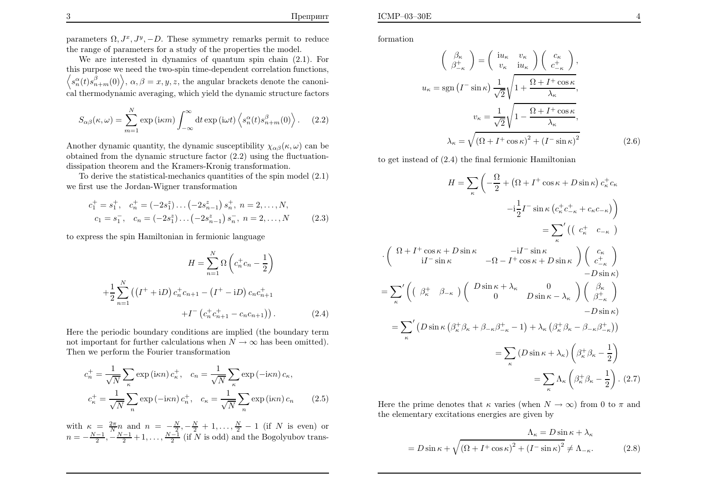parameters  $\Omega, J^x, J^y, -D$ . These symmetry remarks permit to reduce the range of parameters for <sup>a</sup> study of the properties the model.

 We are interested in dynamics of quantum spin chain (2.1). For this purpose we need the two-spin time-dependent correlation functions, $\Big\langle s$  $\frac{\alpha}{n}(t)s$  $\binom{\beta}{n+m}(0)$ ,  $\alpha, \beta = x, y, z$ , the angular brackets denote the canoni-cal thermodynamic averaging, which <sup>y</sup>ield the dynamic structure factors

$$
S_{\alpha\beta}(\kappa,\omega) = \sum_{m=1}^{N} \exp(i\kappa m) \int_{-\infty}^{\infty} dt \exp(i\omega t) \left\langle s_n^{\alpha}(t) s_{n+m}^{\beta}(0) \right\rangle.
$$
 (2.2)

Another dynamic quantity, the dynamic susceptibility  $\chi_{\alpha\beta}(\kappa,\omega)$  can be obtained from the dynamic structure factor (2.2) using the fluctuationdissipation theorem and the Kramers-Kronig transformation.

To derive the statistical-mechanics quantities of the spin model (2.1) we first use the Jordan-Wigner transformation

$$
c_1^+ = s_1^+, \quad c_n^+ = (-2s_1^z) \dots (-2s_{n-1}^z) s_n^+, \quad n = 2, \dots, N,
$$
  

$$
c_1 = s_1^-, \quad c_n = (-2s_1^z) \dots (-2s_{n-1}^z) s_n^-, \quad n = 2, \dots, N
$$
 (2.3)

to express the spin Hamiltonian in fermionic language

$$
H = \sum_{n=1}^{N} \Omega \left( c_n^+ c_n - \frac{1}{2} \right)
$$

$$
+ \frac{1}{2} \sum_{n=1}^{N} \left( \left( I^+ + iD \right) c_n^+ c_{n+1} - \left( I^+ - iD \right) c_n c_{n+1}^+ + I^- \left( c_n^+ c_{n+1}^+ - c_n c_{n+1} \right) \right). \tag{2.4}
$$

Here the periodic boundary conditions are implied (the boundary termnot important for further calculations when  $N \to \infty$  has been omitted).<br>Then we perform the Fourier transformation Then we perform the Fourier transformation

$$
c_n^+ = \frac{1}{\sqrt{N}} \sum_{\kappa} \exp\left(i\kappa n\right) c_{\kappa}^+, \quad c_n = \frac{1}{\sqrt{N}} \sum_{\kappa} \exp\left(-i\kappa n\right) c_{\kappa},
$$

$$
c_{\kappa}^+ = \frac{1}{\sqrt{N}} \sum_{n} \exp\left(-i\kappa n\right) c_n^+, \quad c_{\kappa} = \frac{1}{\sqrt{N}} \sum_{n} \exp\left(i\kappa n\right) c_n \tag{2.5}
$$

with  $\kappa$ = $\frac{2\pi}{N}$  $n \text{ and } n$ = $\frac{N}{2},$ with  $\kappa = \frac{2\pi}{N} n$  and  $n = -\frac{N}{2}, -\frac{N}{2} + 1, ..., \frac{N}{2} - 1$  (if N is even) or  $n = -\frac{N-1}{2}, -\frac{N-1}{2} + 1, ..., \frac{N-1}{2}$  (if N is odd) and the Bogolyubov transformation

$$
\begin{pmatrix}\n\beta_{\kappa} \\
\beta_{-\kappa}^{+} \\
\end{pmatrix} = \begin{pmatrix}\ni u_{\kappa} & v_{\kappa} \\
v_{\kappa} & i u_{\kappa}\n\end{pmatrix} \begin{pmatrix}\nc_{\kappa} \\
c_{-\kappa}^{+}\n\end{pmatrix},
$$
\n
$$
u_{\kappa} = \text{sgn} (I^{-} \sin \kappa) \frac{1}{\sqrt{2}} \sqrt{1 + \frac{\Omega + I^{+} \cos \kappa}{\lambda_{\kappa}}},
$$
\n
$$
v_{\kappa} = \frac{1}{\sqrt{2}} \sqrt{1 - \frac{\Omega + I^{+} \cos \kappa}{\lambda_{\kappa}}},
$$
\n
$$
\lambda_{\kappa} = \sqrt{(\Omega + I^{+} \cos \kappa)^{2} + (I^{-} \sin \kappa)^{2}} \tag{2.6}
$$

to get instead of (2.4) the final fermionic Hamiltonian

$$
H = \sum_{\kappa} \left( -\frac{\Omega}{2} + (\Omega + I^{+} \cos \kappa + D \sin \kappa) c_{\kappa}^{+} c_{\kappa} -\frac{1}{2} I^{-} \sin \kappa (c_{\kappa}^{+} c_{-\kappa}^{+} + c_{\kappa} c_{-\kappa}) \right)
$$
  
\n
$$
= \sum_{\kappa}^{\prime} \left( \left( c_{\kappa}^{+} - c_{-\kappa} \right) -\frac{1}{2} I^{-} \sin \kappa \right)
$$
  
\n
$$
\cdot \left( \begin{array}{cc} \Omega + I^{+} \cos \kappa + D \sin \kappa & -iI^{-} \sin \kappa \\ iI^{-} \sin \kappa & -\Omega - I^{+} \cos \kappa + D \sin \kappa \end{array} \right) \left( \begin{array}{c} c_{\kappa} \\ c_{-\kappa}^{+} \\ -D \sin \kappa \end{array} \right)
$$
  
\n
$$
= \sum_{\kappa}^{\prime} \left( \left( \beta_{\kappa}^{+} \ \beta_{-\kappa} \right) \left( \begin{array}{c} D \sin \kappa + \lambda_{\kappa} & 0 \\ 0 & D \sin \kappa - \lambda_{\kappa} \end{array} \right) \left( \begin{array}{c} \beta_{\kappa} \\ \beta_{-\kappa}^{+} \\ -D \sin \kappa \end{array} \right)
$$
  
\n
$$
= \sum_{\kappa}^{\prime} \left( D \sin \kappa \left( \beta_{\kappa}^{+} \beta_{\kappa} + \beta_{-\kappa} \beta_{-\kappa}^{+} - 1 \right) + \lambda_{\kappa} \left( \beta_{\kappa}^{+} \beta_{\kappa} - \beta_{-\kappa} \beta_{-\kappa}^{+} \right) \right)
$$
  
\n
$$
= \sum_{\kappa} \left( D \sin \kappa + \lambda_{\kappa} \right) \left( \beta_{\kappa}^{+} \beta_{\kappa} - \frac{1}{2} \right)
$$
  
\n
$$
= \sum_{\kappa} \Lambda_{\kappa} \left( \beta_{\kappa}^{+} \beta_{\kappa} - \frac{1}{2} \right). (2.7)
$$

Here the prime denotes that  $\kappa$  varies (when  $N \to \infty$ ) from 0 to  $\pi$  and the elementary excitations energies are given by

$$
\Lambda_{\kappa} = D \sin \kappa + \lambda_{\kappa}
$$
  
=  $D \sin \kappa + \sqrt{(\Omega + I^+ \cos \kappa)^2 + (I^- \sin \kappa)^2} \neq \Lambda_{-\kappa}.$  (2.8)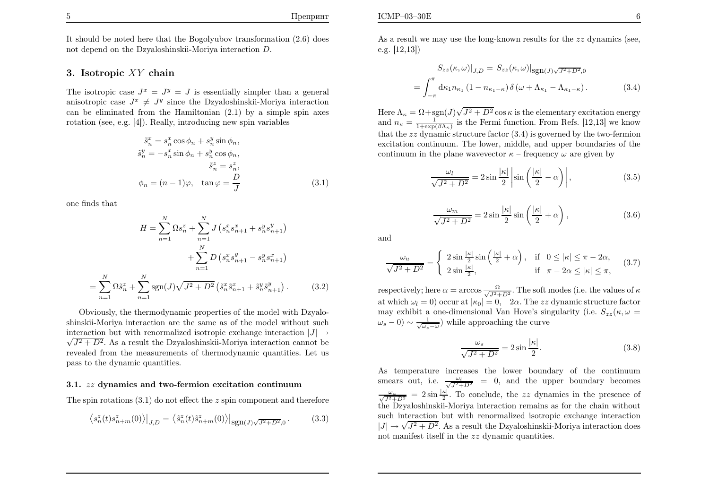It should be noted here that the Bogolyubov transformation (2.6) doesnot depend on the Dzyaloshinskii-Moriya interaction  $D$ .

# 3. Isotropic XY chain

The isotropic case  $J^x = J^y = J$  is essentially simpler than a general anisotropic case  $J^x \neq J^y$  since the Dzyaloshinskii-Moriya interaction can be eliminated from the Hamiltonian (2.1) by <sup>a</sup> simple spin axes rotation (see, e.g. [4]). Really, introducing new spin variables

$$
\tilde{s}_n^x = s_n^x \cos \phi_n + s_n^y \sin \phi_n,
$$
  
\n
$$
\tilde{s}_n^y = -s_n^x \sin \phi_n + s_n^y \cos \phi_n,
$$
  
\n
$$
\tilde{s}_n^z = s_n^z,
$$
  
\n
$$
\phi_n = (n-1)\varphi, \quad \tan \varphi = \frac{D}{J}
$$
\n(3.1)

one finds that

$$
H = \sum_{n=1}^{N} \Omega s_n^z + \sum_{n=1}^{N} J \left( s_n^x s_{n+1}^x + s_n^y s_{n+1}^y \right) + \sum_{n=1}^{N} D \left( s_n^x s_{n+1}^y - s_n^y s_{n+1}^x \right) - \sum_{n=1}^{N} \Omega \tilde{s}_n^z + \sum_{n=1}^{N} \text{sgn}(J) \sqrt{J^2 + D^2} \left( \tilde{s}_n^x \tilde{s}_{n+1}^x + \tilde{s}_n^y \tilde{s}_{n+1}^y \right). \tag{3.2}
$$

Obviously, the thermodynamic properties of the model with Dzyaloshinskii-Moriya interaction are the same as of the model without suchinteraction but with renormalized isotropic exchange interaction  $|J| \rightarrow \sqrt{I^2 + D^2}$ .  $\sqrt{J^2 + D^2}$ . As a result the Dzyaloshinskii-Moriya interaction cannot be revealed from the measurements of thermodynamic quantities. Let uspass to the dynamic quantities.

### $3.1.$   $zz$  dynamics and two-fermion excitation continuum

The spin rotations  $(3.1)$  do not effect the z spin component and therefore

$$
\langle s_n^z(t)s_{n+m}^z(0)\rangle\big|_{J,D} = \langle \tilde{s}_n^z(t)\tilde{s}_{n+m}^z(0)\rangle\big|_{\text{sgn}(J)\sqrt{J^2+D^2},0}.
$$
 (3.3)

As a result we may use the long-known results for the  $zz$  dynamics (see, e.g. [12,13])

$$
S_{zz}(\kappa, \omega)|_{J,D} = S_{zz}(\kappa, \omega)|_{\text{sgn}(J)\sqrt{J^2 + D^2}, 0}
$$

$$
= \int_{-\pi}^{\pi} d\kappa_1 n_{\kappa_1} (1 - n_{\kappa_1 - \kappa}) \delta(\omega + \Lambda_{\kappa_1} - \Lambda_{\kappa_1 - \kappa}). \tag{3.4}
$$

Here  $\Lambda_{\kappa} = \Omega + \text{sgn}(J)\sqrt{J^2 + D^2} \cos \kappa$  is the elementary excitation energy and  $n_{\kappa} = \frac{1}{1+\exp(\beta \Lambda_{\kappa})}$  is the Fermi function. From Refs. [12,13] we know that the  $zz$  dynamic structure factor  $(3.4)$  is governed by the two-fermion excitation continuum. The lower, middle, and upper boundaries of thecontinuum in the plane wavevector  $\kappa$  – frequency  $\omega$  are given by

$$
\frac{\omega_l}{\sqrt{J^2 + D^2}} = 2\sin\frac{|\kappa|}{2}\left|\sin\left(\frac{|\kappa|}{2} - \alpha\right)\right|,\tag{3.5}
$$

$$
\frac{\omega_m}{\sqrt{J^2 + D^2}} = 2\sin\frac{|\kappa|}{2}\sin\left(\frac{|\kappa|}{2} + \alpha\right),\tag{3.6}
$$

and

$$
\frac{\omega_u}{\sqrt{J^2 + D^2}} = \begin{cases} 2\sin\frac{|\kappa|}{2}\sin\left(\frac{|\kappa|}{2} + \alpha\right), & \text{if } 0 \le |\kappa| \le \pi - 2\alpha, \\ 2\sin\frac{|\kappa|}{2}, & \text{if } \pi - 2\alpha \le |\kappa| \le \pi, \end{cases}
$$
(3.7)

respectively; here  $\alpha = \arccos \frac{\Omega}{\sqrt{J^2 + D^2}}$ . The soft modes (i.e. the values of  $\kappa$ at which  $\omega_l = 0$ ) occur at  $|\kappa_0| = 0$ , 2 $\alpha$ . The zz dynamic structure factor may exhibit a one-dimensional Van Hove's singularity (i.e.  $S_{zz}(\kappa, \omega=$  $(\omega_s - 0) \sim \frac{1}{\sqrt{\omega_s - \omega}}$  while approaching the curve

$$
\frac{\omega_s}{\sqrt{J^2 + D^2}} = 2\sin\frac{|\kappa|}{2}.\tag{3.8}
$$

As temperature increases the lower boundary of the continuumsmears out, i.e.  $\frac{\omega_l}{\sqrt{J^2+D^2}}$  = 0, and the upper boundary becomes  $\frac{\omega_u}{\sqrt{J^2+D^2}} = 2 \sin \frac{|\kappa|}{2}$ . To conclude, the zz dynamics in the presence of the Dzyaloshinskii-Moriya interaction remains as for the chain withoutsuch interaction but with renormalized isotropic exchange interaction  $|J| \rightarrow \sqrt{J^2 + D^2}$ . As a result the Dzyaloshinskii-Moriya interaction does not manifest itself in the zz dynamic quantities.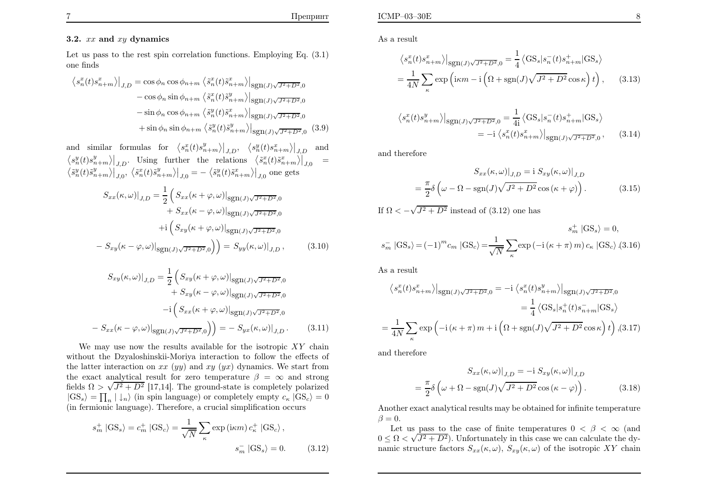# $3.2.$   $xx$  and  $xy$  dynamics

Let us pass to the rest spin correlation functions. Employing Eq. (3.1)one finds

$$
\langle s_n^x(t)s_{n+m}^x \rangle \big|_{J,D} = \cos \phi_n \cos \phi_{n+m} \langle \tilde{s}_n^x(t)\tilde{s}_{n+m}^x \rangle \big|_{\text{sgn}(J)\sqrt{J^2 + D^2},0}
$$

$$
- \cos \phi_n \sin \phi_{n+m} \langle \tilde{s}_n^x(t)\tilde{s}_{n+m}^y \rangle \big|_{\text{sgn}(J)\sqrt{J^2 + D^2},0}
$$

$$
- \sin \phi_n \cos \phi_{n+m} \langle \tilde{s}_n^y(t)\tilde{s}_{n+m}^x \rangle \big|_{\text{sgn}(J)\sqrt{J^2 + D^2},0}
$$

$$
+ \sin \phi_n \sin \phi_{n+m} \langle \tilde{s}_n^y(t)\tilde{s}_{n+m}^y \rangle \big|_{\text{sgn}(J)\sqrt{J^2 + D^2},0} \quad (3.9)
$$

and similar formulas for  $\langle s_n^x(t)s_{n+m}^y \rangle \Big|_{J,D}, \langle s_n^y(t)s_{n+m}^x \rangle \Big|_{J,D}$  and  $\langle s_n^y(t)s_{n+m}^y \rangle\big|_{J,D}$ . Using further the relations  $\langle \tilde{s}_n^x(t)\tilde{s}_{n+m}^x \rangle\big|_{J,0} =$  $\left.\left<\tilde{s}^{y}_{n}(t)\tilde{s}^{y}_{n+m}\right>\right|_{J,0},\ \left.\left<\tilde{s}^{x}_{n}(t)\tilde{s}^{y}_{n+m}\right>\right|_{J,0}=-\left.\left<\tilde{s}^{y}_{n}(t)\tilde{s}^{x}_{n+m}\right>\right|_{J,0}$  one ge  $\frac{y}{n}(t)\tilde{s}$  $_{n+m}^y\rangle\big|_{J,0},\ \big\langle \tilde{s}%\overline{\tilde{s}}\tilde{s}\overline{\tilde{s}}\tilde{s}\overline{\tilde{s}}\tilde{s}\overline{\tilde{s}}\tilde{s}\overline{\tilde{s}}\big\langle \tilde{s}\overline{\tilde{s}}\tilde{s}\overline{\tilde{s}}\tilde{s}\overline{\tilde{s}}\tilde{s}\overline{\tilde{s}}\tilde{s}\overline{\tilde{s}}\tilde{s}\overline{\tilde{s}}\big\langle \tilde{s}\overline{\tilde{s}}\tilde{s}\overline{\tilde{s}}\tilde{s}\overline{\tilde{s}}\overline{\tilde{s}}\tilde{s}\overline{\tilde{s}}\big$  $\frac{x}{n}(t)\tilde{s}$  $_{n+m}^y\rangle\big|_{J,0}=-\left\langle \tilde{s}\right\rangle$  $\frac{y}{n}(t)\tilde{s}$  $\binom{x}{n+m}\big|_{J,0}$  one gets

$$
S_{xx}(\kappa, \omega)|_{J,D} = \frac{1}{2} \left( S_{xx}(\kappa + \varphi, \omega)|_{\text{sgn}(J)\sqrt{J^2 + D^2}, 0} + S_{xx}(\kappa - \varphi, \omega)|_{\text{sgn}(J)\sqrt{J^2 + D^2}, 0} + \mathrm{i} \left( S_{xy}(\kappa + \varphi, \omega)|_{\text{sgn}(J)\sqrt{J^2 + D^2}, 0} - S_{xy}(\kappa - \varphi, \omega)|_{\text{sgn}(J)\sqrt{J^2 + D^2}, 0} \right) \right) = S_{yy}(\kappa, \omega)|_{J,D}, \tag{3.10}
$$

$$
S_{xy}(\kappa,\omega)|_{J,D} = \frac{1}{2} \left( S_{xy}(\kappa + \varphi,\omega)|_{\text{sgn}(J)\sqrt{J^2 + D^2},0} + S_{xy}(\kappa - \varphi,\omega)|_{\text{sgn}(J)\sqrt{J^2 + D^2},0} \right)
$$

$$
-i \left( S_{xx}(\kappa + \varphi,\omega)|_{\text{sgn}(J)\sqrt{J^2 + D^2},0} - S_{xx}(\kappa - \varphi,\omega)|_{\text{sgn}(J)\sqrt{J^2 + D^2},0} \right) = - S_{yx}(\kappa,\omega)|_{J,D}. \tag{3.11}
$$

We may use now the results available for the isotropic  $XY$  chain without the Dzyaloshinskii-Moriya interaction to follow the effects ofthe latter interaction on  $xx (yy)$  and  $xy (yx)$  dynamics. We start from the exact analytical result for zero temperature  $\beta = \infty$  and stron the exact analytical result for zero temperature  $\beta = \infty$  and strong fields  $\Omega > \sqrt{J^2 + D^2}$  [17,14]. The ground-state is completely polarized  $|GS_s\rangle = \prod_n |\downarrow_n\rangle$  (in spin language) or completely empty  $c_{\kappa} |GS_c\rangle = 0$ (in fermionic language). Therefore, <sup>a</sup> crucial simplification occurs

$$
s_m^+ \left| \text{GS}_s \right\rangle = c_m^+ \left| \text{GS}_c \right\rangle = \frac{1}{\sqrt{N}} \sum_{\kappa} \exp\left( \text{i}\kappa m \right) c_{\kappa}^+ \left| \text{GS}_c \right\rangle,
$$
  

$$
s_m^- \left| \text{GS}_s \right\rangle = 0. \tag{3.12}
$$

As <sup>a</sup> result

$$
\langle s_n^x(t)s_{n+m}^x \rangle|_{\text{sgn}(J)\sqrt{J^2+D^2},0} = \frac{1}{4} \langle \text{GS}_s|s_n^-(t)s_{n+m}^+|\text{GS}_s \rangle
$$
  
= 
$$
\frac{1}{4N} \sum_{\kappa} \exp\left(\text{i}\kappa m - \text{i}\left(\Omega + \text{sgn}(J)\sqrt{J^2 + D^2}\cos\kappa\right)t\right), \qquad (3.13)
$$

$$
\langle s_n^x(t)s_{n+m}^y \rangle|_{\text{sgn}(J)\sqrt{J^2+D^2},0} = \frac{1}{4i} \langle \text{GS}_s | s_n^-(t)s_{n+m}^+ | \text{GS}_s \rangle
$$
  
=  $-i \langle s_n^x(t)s_{n+m}^x \rangle|_{\text{sgn}(J)\sqrt{J^2+D^2},0},$  (3.14)

and therefore

$$
S_{xx}(\kappa,\omega)|_{J,D} = \mathrm{i} S_{xy}(\kappa,\omega)|_{J,D}
$$

$$
= \frac{\pi}{2} \delta \left( \omega - \Omega - \mathrm{sgn}(J) \sqrt{J^2 + D^2} \cos(\kappa + \varphi) \right). \tag{3.15}
$$

If  $\Omega < -\sqrt{J^2 + D^2}$  instead of (3.12) one has

$$
s_m^+ \left| \text{GS}_s \right\rangle = (-1)^m c_m \left| \text{GS}_c \right\rangle = \frac{1}{\sqrt{N}} \sum_{\kappa} \exp\left( -\mathrm{i} \left( \kappa + \pi \right) m \right) c_\kappa \left| \text{GS}_c \right\rangle \tag{3.16}
$$

As <sup>a</sup> result

$$
\langle s_n^x(t)s_{n+m}^x \rangle|_{\text{sgn}(J)\sqrt{J^2+D^2},0} = -i \langle s_n^x(t)s_{n+m}^y \rangle|_{\text{sgn}(J)\sqrt{J^2+D^2},0}
$$
  

$$
= \frac{1}{4} \langle \text{GS}_s|s_n^+(t)s_{n+m}^-|\text{GS}_s \rangle
$$
  

$$
= \frac{1}{4N} \sum_{\kappa} \exp\left(-i(\kappa + \pi)m + i\left(\Omega + \text{sgn}(J)\sqrt{J^2 + D^2}\cos\kappa\right)t\right), (3.17)
$$

and therefore

$$
S_{xx}(\kappa,\omega)|_{J,D} = -\mathrm{i} S_{xy}(\kappa,\omega)|_{J,D}
$$

$$
= \frac{\pi}{2}\delta\left(\omega + \Omega - \mathrm{sgn}(J)\sqrt{J^2 + D^2}\cos\left(\kappa - \varphi\right)\right). \tag{3.18}
$$

Another exact analytical results may be obtained for infinite temperature $\beta = 0.$ 

Let us pass to the case of finite temperatures  $0 < \beta < \infty$  (and  $0 < \sqrt{I^2 + D^2}$ ) Unfortunately in this case we can calculate the dy- $0 \le \Omega \lt \sqrt{J^2 + D^2}$ ). Unfortunately in this case we can calculate the dynamic structure factors  $S_{xx}(\kappa, \omega)$ ,  $S_{xy}(\kappa, \omega)$  of the isotropic XY chain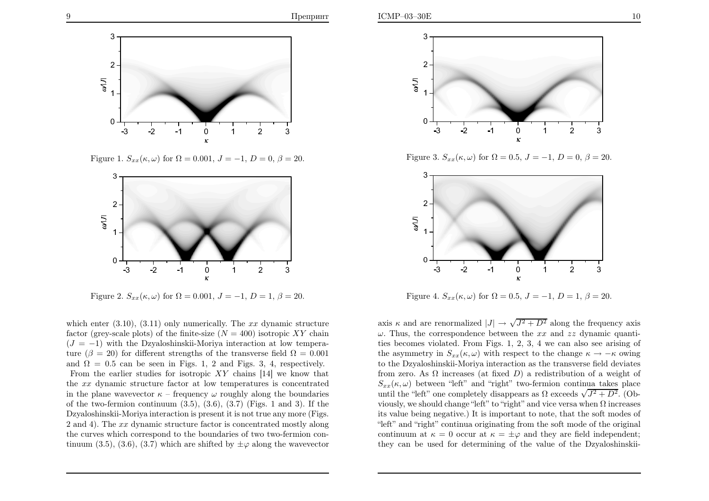

Figure 1.  $S_{xx}(\kappa, \omega)$  for  $\Omega = 0.001, J = -1, D = 0, \beta = 20$ .



Figure 2.  $S_{xx}(\kappa, \omega)$  for  $\Omega = 0.001, J = -1, D = 1, \beta = 20$ .

which enter  $(3.10)$ ,  $(3.11)$  only numerically. The xx dynamic structure factor (grey-scale plots) of the finite-size  $(N = 400)$  isotropic XY chain  $(J = -1)$  with the Dzyaloshinskii-Moriya interaction at low temperature ( $\beta = 20$ ) for different strengths of the transverse field  $\Omega = 0.001$ and  $\Omega = 0.5$  can be seen in Figs. 1, 2 and Figs. 3, 4, respectively. From the earlier studies for isotropic  $XY$  chains [14] we know that the xx dynamic structure factor at low temperatures is concentrated in the plane wavevector  $\kappa$  – frequency  $\omega$  roughly along the boundaries of the two-fermion continuum  $(3.5)$ ,  $(3.6)$ ,  $(3.7)$  (Figs. 1 and 3). If the Dzyaloshinskii-Moriya interaction is present it is not true any more (Figs. 2 and 4). The xx dynamic structure factor is concentrated mostly along the curves which correspond to the boundaries of two two-fermion continuum (3.5), (3.6), (3.7) which are shifted by  $\pm \varphi$  along the wavevector



Figure 3.  $S_{xx}(\kappa, \omega)$  for  $\Omega = 0.5$ ,  $J = -1$ ,  $D = 0$ ,  $\beta = 20$ .



Figure 4.  $S_{xx}(\kappa, \omega)$  for  $\Omega = 0.5$ ,  $J = -1$ ,  $D = 1$ ,  $\beta = 20$ .

axis  $\kappa$  and are renormalized  $|J| \to \sqrt{J^2 + D^2}$  along the frequency axis<br> $\omega$ . Thus, the correspondence between the xx and xx dynamic quanti- $\omega$ . Thus, the correspondence between the xx and zz dynamic quantities becomes violated. From Figs. 1, 2, 3, 4 we can also see arising ofthe asymmetry in  $S_{xx}(\kappa, \omega)$  with respect to the change  $\kappa \to -\kappa$  owing to the Dzyaloshinskii-Moriya interaction as the transverse field deviatesfrom zero. As  $\Omega$  increases (at fixed  $D$ ) a redistribution of a weight of  $S_{xx}(\kappa,\omega)$  between "left" and "right" two-fermion continua takes place until the "left" one completely disappears as  $\Omega$  exceeds  $\sqrt{J^2 + D^2}$ . (Obviously, we should change "left" to "right" and vice versa when  $\Omega$  increases its value being negative.) It is important to note, that the soft modes of "left" and "right" continua originating from the soft mode of the originalcontinuum at  $\kappa = 0$  occur at  $\kappa = \pm \varphi$  and they are field independent; they can be used for determining of the value of the Dzyaloshinskii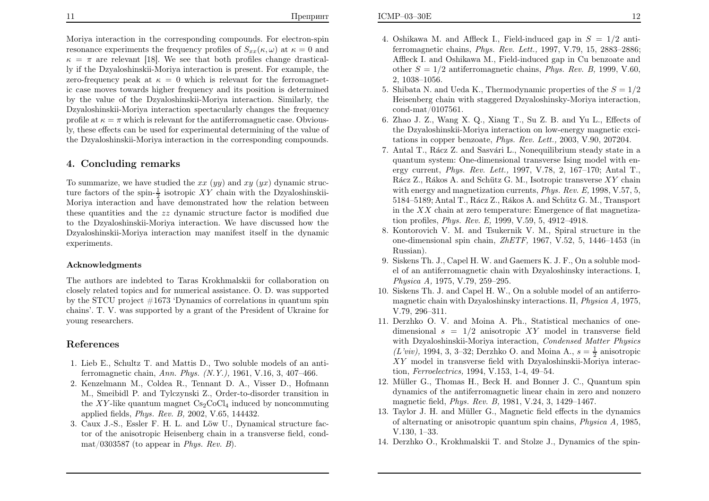Moriya interaction in the corresponding compounds. For electron-spinresonance experiments the frequency profiles of  $S_{xx}(\kappa,\omega)$  at  $\kappa=0$  and  $\kappa = \pi$  are relevant [18]. We see that both profiles change drastically if the Dzyaloshinskii-Moriya interaction is present. For example, the lve i zero-frequency peak at  $\kappa = 0$  which is relevant for the ferromagnet ic case moves towards higher frequency and its position is determined by the value of the Dzyaloshinskii-Moriya interaction. Similarly, the Dzyaloshinskii-Moriya interaction spectacularly changes the frequencyprofile at  $\kappa = \pi$  which is relevant for the antiferromagnetic case. Obvious- ly, these effects can be used for experimental determining of the value of the Dzyaloshinskii-Moriya interaction in the corresponding compounds.

#### 4. Concluding remarks

To summarize, we have studied the  $xx (yy)$  and  $xy (yx)$  dynamic structure factors of the spin- $\frac{1}{2}$  isotropic XY chain with the Dzyaloshinskii-Moriya interaction and have demonstrated how the relation between these quantities and the zz dynamic structure factor is modified due to the Dzyaloshinskii-Moriya interaction. We have discussed how the Dzyaloshinskii-Moriya interaction may manifest itself in the dynamic experiments.

#### Acknowledgments

The authors are indebted to Taras Krokhmalskii for collaboration on closely related topics and for numerical assistance. O. D. was supported by the STCU project #1673 'Dynamics of correlations in quantum spin chains'. T. V. was supported by <sup>a</sup> grant of the President of Ukraine foryoung researchers.

### References

- 1. Lieb E., Schultz T. and Mattis D., Two soluble models of an antiferromagnetic chain, Ann. Phys. (N.Y.), 1961, V.16, 3, 407–466.
- 2. Kenzelmann M., Coldea R., Tennant D. A., Visser D., Hofmann M., Smeibidl P. and Tylczynski Z., Order-to-disorder transition inthe XY-like quantum magnet  $Cs_2CoCl<sub>4</sub>$  induced by noncommuting applied fields, *Phys. Rev. B*, 2002, V.65, 144432.
- 3. Caux J.-S., Essler F. H. L. and Löw U., Dynamical structure factor of the anisotropic Heisenberg chain in <sup>a</sup> transverse field, cond- $\text{mat}/0303587$  (to appear in *Phys. Rev. B*).
- 4. Oshikawa M. and Affleck I., Field-induced gap in  $S = 1/2$  anti ferromagnetic chains, Phys. Rev. Lett., 1997, V.79, 15, 2883–2886; Affleck I. and Oshikawa M., Field-induced gap in Cu benzoate andother  $S = 1/2$  antiferromagnetic chains, *Phys. Rev. B*, 1999, V.60, 2, 1038–1056.
- 5. Shibata N. and Ueda K., Thermodynamic properties of the  $S = 1/2$  Heisenberg chain with staggered Dzyaloshinsky-Moriya interaction,cond-mat/0107561.
- 6. Zhao J. Z., Wang X. Q., Xiang T., Su Z. B. and Yu L., Effects of the Dzyaloshinskii-Moriya interaction on low-energy magnetic excitations in copper benzoate, Phys. Rev. Lett., 2003, V.90, 207204.
- 7. Antal T., Rácz Z. and Sasvári L., Nonequilibrium steady state in a quantum system: One-dimensional transverse Ising model with energy current, Phys. Rev. Lett., 1997, V.78, 2, 167–170; Antal T., Rácz Z., Rákos A. and Schütz G. M., Isotropic transverse  $XY$  chain with energy and magnetization currents,  $Phys.$   $Rev.$   $E,$  1998,  $V.57,$   $5,$ 5184–5189; Antal T., Rácz Z., Rákos A. and Schütz G. M., Transport in the XX chain at zero temperature: Emergence of flat magnetiza-<br>tion profiles.  $P_{\text{ave}} E_{\text{1000}} V_{\text{E}}$  (1012 4012 4018) tion profiles, Phys. Rev. E, 1999, V.59, 5, 4912–4918.
- 8. Kontorovich V. M. and Tsukernik V. M., Spiral structure in the one-dimensional spin chain,  $ZhETF$ , 1967, V.52, 5, 1446–1453 (in Russian).
- 9. Siskens Th. J., Capel H. W. and Gaemers K. J. F., On <sup>a</sup> soluble model of an antiferromagnetic chain with Dzyaloshinsky interactions. I,Physica A, 1975, V.79, 259–295.
- 10. Siskens Th. J. and Capel H. W., On <sup>a</sup> soluble model of an antiferromagnetic chain with Dzyaloshinsky interactions. II,  $Physical\ A$ , 1975, V.79, 296–311.
- 11. Derzhko O. V. and Moina A. Ph., Statistical mechanics of onedimensional  $s = 1/2$  anisotropic XY model in transverse field with Dzyaloshinskii-Moriya interaction, Condensed Matter Physics $(L'viv)$ , 1994, 3, 3–32; Derzhko O. and Moina A.,  $s = \frac{1}{2}$  anisotropic XY model in transverse field with Dzyaloshinskii-Moriya interaction, Ferroelectrics, 1994, V.153, 1-4, 49–54.
- 12. Müller G., Thomas H., Beck H. and Bonner J. C., Quantum spin dynamics of the antiferromagnetic linear chain in zero and nonzeromagnetic field, Phys. Rev. B, 1981, V.24, 3, 1429–1467.
- 13. Taylor J. H. and Müller G., Magnetic field effects in the dynamics of alternating or anisotropic quantum spin chains, Physica A, 1985, V.130, 1–33.
- 14. Derzhko O., Krokhmalskii T. and Stolze J., Dynamics of the spin-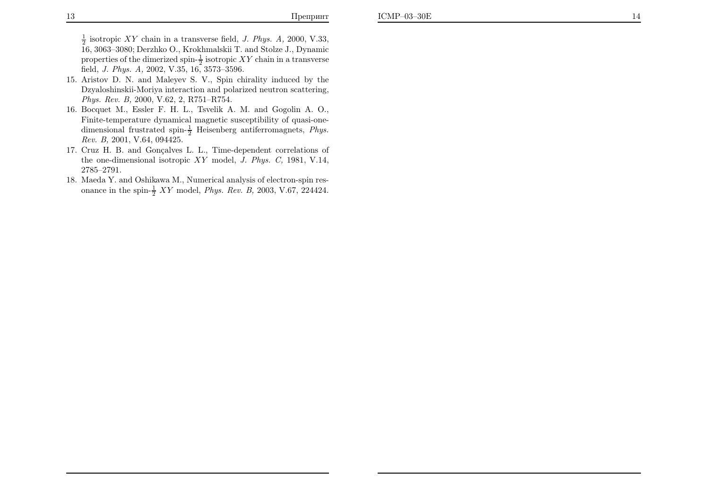$\frac{1}{2}$  isotropic XY chain in a transverse field, J. Phys. A, 2000, V.33, 16, 3063–3080; Derzhko O., Krokhmalskii T. and Stolze J., Dynamicproperties of the dimerized spin- $\frac{1}{2}$  isotropic XY chain in a transverse field, J. Phys. A, 2002, V.35, 16, 3573–3596.

- 15. Aristov D. N. and Maleyev S. V., Spin chirality induced by the Dzyaloshinskii-Moriya interaction and polarized neutron scattering, Phys. Rev. B, 2000, V.62, 2, R751–R754.
- 16. Bocquet M., Essler F. H. L., Tsvelik A. M. and Gogolin A. O., Finite-temperature dynamical magnetic susceptibility of quasi-onedimensional frustrated spin- $\frac{1}{2}$  Heisenberg antiferromagnets, *Phys.* Rev. B, 2001, V.64, 094425.
- 17. Cruz H. B. and Gonçalves L. L., Time-dependent correlations of the one-dimensional isotropic  $XY$  model, J. Phys. C, 1981, V.14, 2785–2791.
- 18. Maeda Y. and Oshikawa M., Numerical analysis of electron-spin resonance in the spin- $\frac{1}{2} XY$  model, *Phys. Rev. B*, 2003, V.67, 224424.